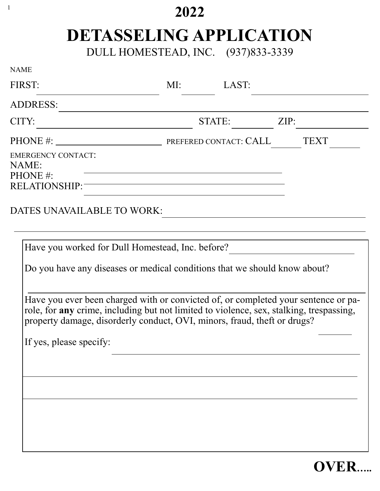## **2022**

1

## **DETASSELING APPLICATION**

DULL HOMESTEAD, INC. (937)833-3339

| <b>NAME</b>                                                                                                                                                                                                                                                                                                                                                                                |                                                                                                                                                                                                                                                |      |
|--------------------------------------------------------------------------------------------------------------------------------------------------------------------------------------------------------------------------------------------------------------------------------------------------------------------------------------------------------------------------------------------|------------------------------------------------------------------------------------------------------------------------------------------------------------------------------------------------------------------------------------------------|------|
| FIRST:                                                                                                                                                                                                                                                                                                                                                                                     | MI: LAST:                                                                                                                                                                                                                                      |      |
| <b>ADDRESS:</b>                                                                                                                                                                                                                                                                                                                                                                            |                                                                                                                                                                                                                                                |      |
| CITY:                                                                                                                                                                                                                                                                                                                                                                                      | STATE:                                                                                                                                                                                                                                         | ZIP: |
| <b>EMERGENCY CONTACT:</b><br>NAME:<br>PHONE#:<br>RELATIONSHIP:<br>DATES UNAVAILABLE TO WORK:                                                                                                                                                                                                                                                                                               | <u> 1989 - Johann Stein, marwolaethau a bhann an t-Amhain an t-Amhain an t-Amhain an t-Amhain an t-Amhain an t-A</u><br><u> 1989 - Johann Stoff, deutscher Stoffen und der Stoffen und der Stoffen und der Stoffen und der Stoffen und der</u> | TEXT |
| Have you worked for Dull Homestead, Inc. before?<br>Do you have any diseases or medical conditions that we should know about?<br>Have you ever been charged with or convicted of, or completed your sentence or pa-<br>role, for any crime, including but not limited to violence, sex, stalking, trespassing,<br>property damage, disorderly conduct, OVI, minors, fraud, theft or drugs? |                                                                                                                                                                                                                                                |      |
| If yes, please specify:                                                                                                                                                                                                                                                                                                                                                                    |                                                                                                                                                                                                                                                |      |